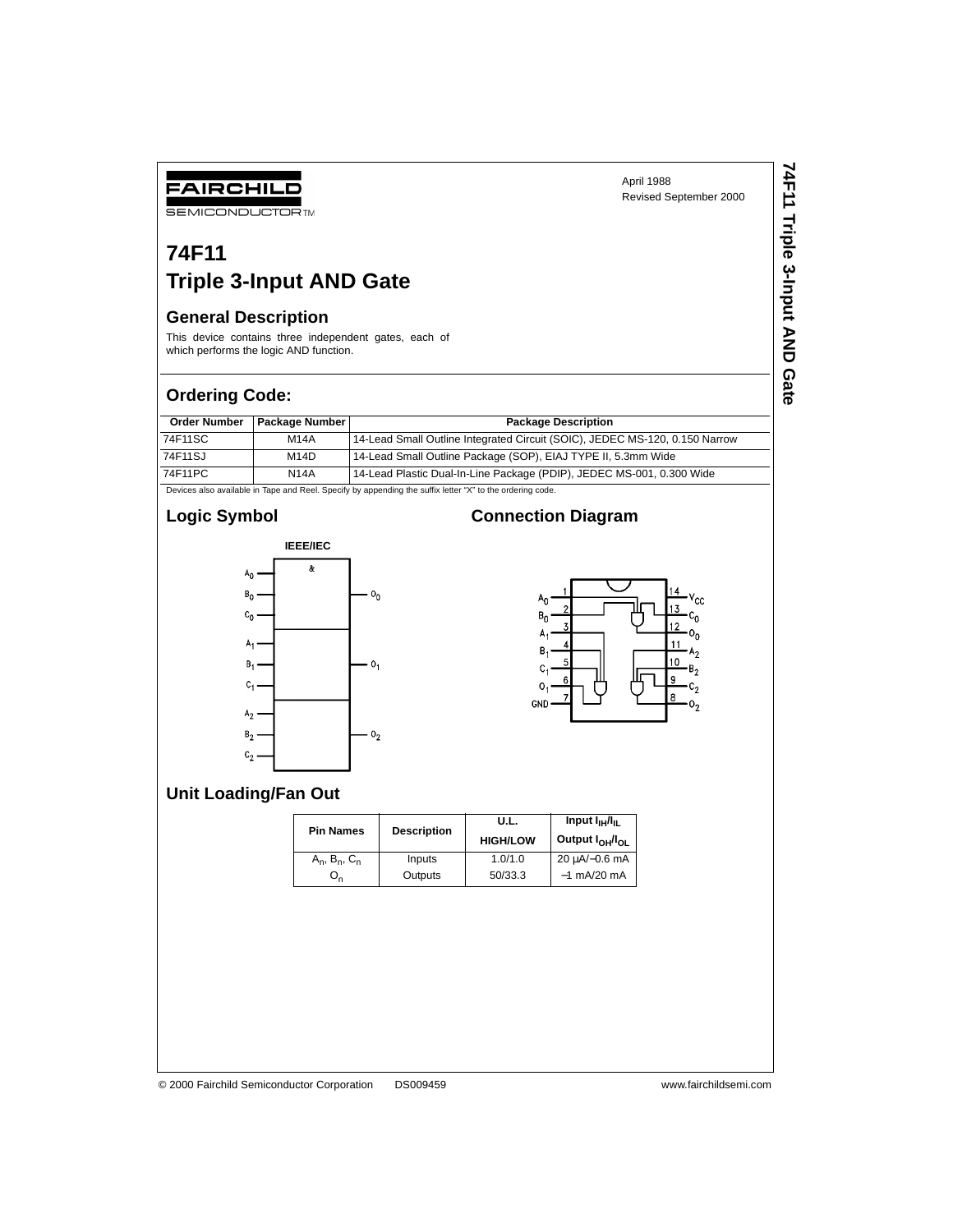**74F11 Triple 3-Input AND Gate**

**74F11 Triple 3-Input AND Gate** 

# **74F11 Triple 3-Input AND Gate**

#### **General Description**

FAIRCHILD **SEMICONDUCTOR TM** 

This device contains three independent gates, each of which performs the logic AND function.

#### **Ordering Code:**

| <b>Order Number</b> | <b>Package Number</b> | <b>Package Description</b>                                                  |
|---------------------|-----------------------|-----------------------------------------------------------------------------|
| 74F11SC             | M14A                  | 14-Lead Small Outline Integrated Circuit (SOIC), JEDEC MS-120, 0.150 Narrow |
| 74F11SJ             | M14D                  | 14-Lead Small Outline Package (SOP), EIAJ TYPE II, 5.3mm Wide               |
| 74F11PC             | <b>N14A</b>           | 14-Lead Plastic Dual-In-Line Package (PDIP), JEDEC MS-001, 0.300 Wide       |

Devices also available in Tape and Reel. Specify by appending the suffix letter "X" to the ordering code.

## **Logic Symbol**



### **Connection Diagram**



#### **Unit Loading/Fan Out**

| <b>Pin Names</b>      | <b>Description</b> | U.L.<br><b>HIGH/LOW</b> | Input I <sub>IH</sub> /I <sub>IL</sub><br>Output l <sub>OH</sub> /l <sub>OL</sub> |  |
|-----------------------|--------------------|-------------------------|-----------------------------------------------------------------------------------|--|
| $A_n$ , $B_n$ , $C_n$ | Inputs             | 1.0/1.0                 | $20 \mu A/-0.6 \text{ mA}$                                                        |  |
| On                    | Outputs            | 50/33.3                 | $-1$ mA/20 mA                                                                     |  |